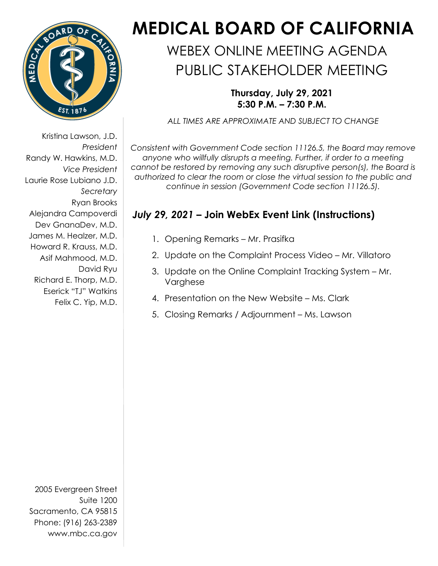

 Laurie Rose Lubiano J.D. Kristina Lawson, J.D. *President*  Randy W. Hawkins, M.D. *Vice President Secretary*  Ryan Brooks Alejandra Campoverdi Dev GnanaDev, M.D. James M. Healzer, M.D. Howard R. Krauss, M.D. Asif Mahmood, M.D. David Ryu Richard E. Thorp, M.D. Eserick "TJ" Watkins Felix C. Yip, M.D.

2005 Evergreen Street Suite 1200 Sacramento, CA 95815 Phone: (916) 263-2389 [www.mbc.ca.gov](http://www.mbc.ca.gov/) 

## **MEDICAL BOARD OF CALIFORNIA**

## PUBLIC STAKEHOLDER MEETING WEBEX ONLINE MEETING AGENDA

**Thursday, July 29, 2021 5:30 P.M. – 7:30 P.M.** 

*ALL TIMES ARE APPROXIMATE AND SUBJECT TO CHANGE* 

 *Consistent with Government Code section 11126.5, the Board may remove anyone who willfully disrupts a meeting. Further, if order to a meeting cannot be restored by removing any such disruptive person(s), the Board is authorized to clear the room or close the virtual session to the public and continue in session (Government Code section 11126.5).* 

## *July 29, 2021* **– Join WebEx Event Link (Instructions)**

- 1. Opening Remarks Mr. Prasifka
- 2. Update on the Complaint Process Video Mr. Villatoro
- 3. Update on the Online Complaint Tracking System Mr. Varghese
- 4. Presentation on the New Website Ms. Clark
- 5. Closing Remarks / Adjournment Ms. Lawson